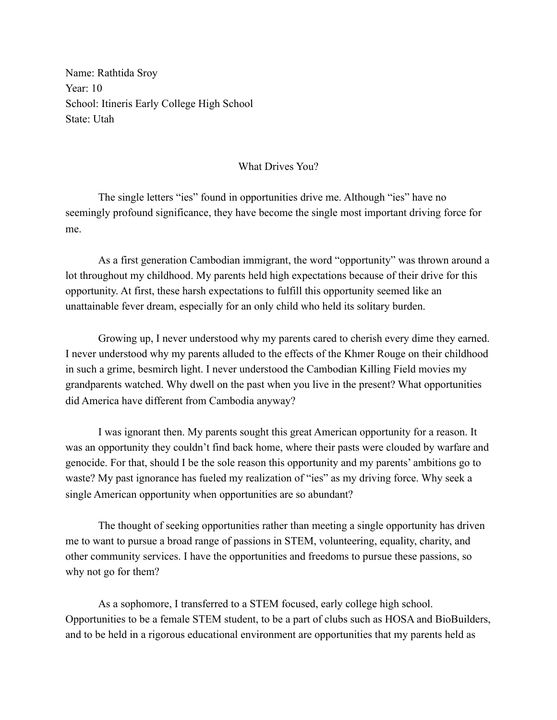Name: Rathtida Sroy Year: 10 School: Itineris Early College High School State: Utah

## What Drives You?

The single letters "ies" found in opportunities drive me. Although "ies" have no seemingly profound significance, they have become the single most important driving force for me.

As a first generation Cambodian immigrant, the word "opportunity" was thrown around a lot throughout my childhood. My parents held high expectations because of their drive for this opportunity. At first, these harsh expectations to fulfill this opportunity seemed like an unattainable fever dream, especially for an only child who held its solitary burden.

Growing up, I never understood why my parents cared to cherish every dime they earned. I never understood why my parents alluded to the effects of the Khmer Rouge on their childhood in such a grime, besmirch light. I never understood the Cambodian Killing Field movies my grandparents watched. Why dwell on the past when you live in the present? What opportunities did America have different from Cambodia anyway?

I was ignorant then. My parents sought this great American opportunity for a reason. It was an opportunity they couldn't find back home, where their pasts were clouded by warfare and genocide. For that, should I be the sole reason this opportunity and my parents' ambitions go to waste? My past ignorance has fueled my realization of "ies" as my driving force. Why seek a single American opportunity when opportunities are so abundant?

The thought of seeking opportunities rather than meeting a single opportunity has driven me to want to pursue a broad range of passions in STEM, volunteering, equality, charity, and other community services. I have the opportunities and freedoms to pursue these passions, so why not go for them?

As a sophomore, I transferred to a STEM focused, early college high school. Opportunities to be a female STEM student, to be a part of clubs such as HOSA and BioBuilders, and to be held in a rigorous educational environment are opportunities that my parents held as